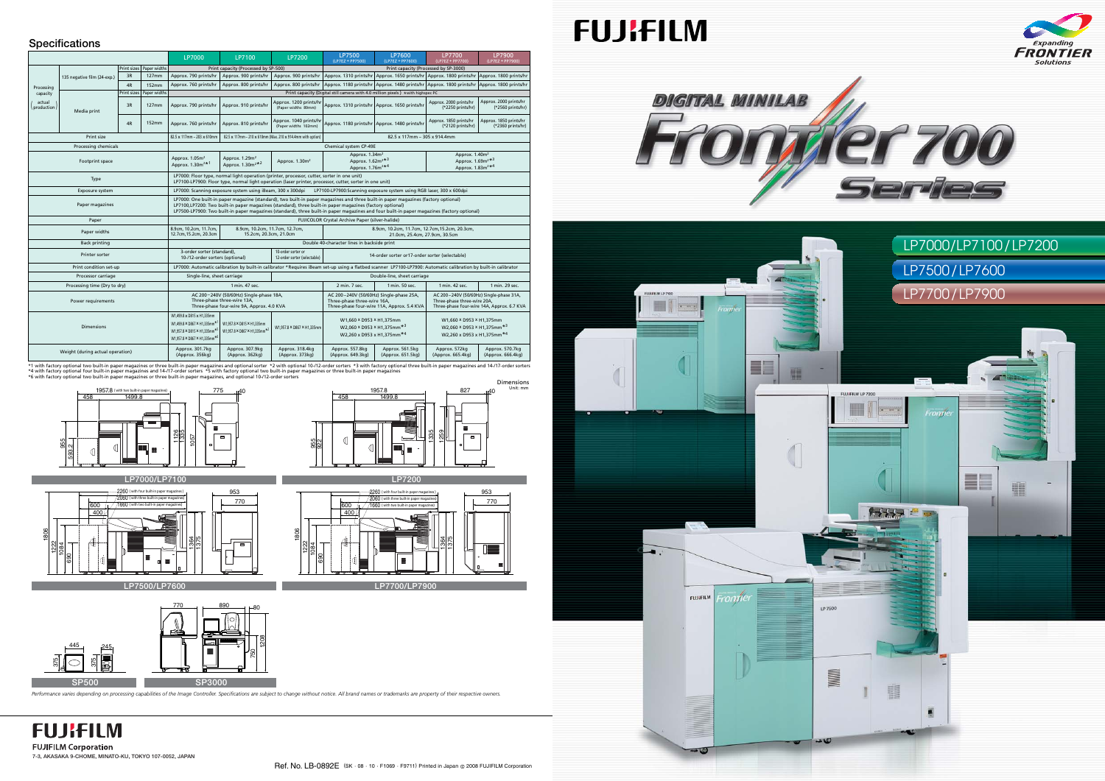Unit: mm







# **Specifications**



|                                                |                             |                    |              | LP7000                                                                                                                                                                                                                                                                                                                                                                                          | LP7100                                                                                                                                  | LP7200                                                      | <b>LP7500</b><br>(LP7EZ + PP7500)                                                                                                                                                                                                            | LP7600<br>(LP7EZ + PP7600)                    | LP7700<br>(LP7EZ + PP7700)                                                                       | LP7900<br>(LP7EZ + PP7900)                  |
|------------------------------------------------|-----------------------------|--------------------|--------------|-------------------------------------------------------------------------------------------------------------------------------------------------------------------------------------------------------------------------------------------------------------------------------------------------------------------------------------------------------------------------------------------------|-----------------------------------------------------------------------------------------------------------------------------------------|-------------------------------------------------------------|----------------------------------------------------------------------------------------------------------------------------------------------------------------------------------------------------------------------------------------------|-----------------------------------------------|--------------------------------------------------------------------------------------------------|---------------------------------------------|
| Processing<br>capacity<br>actual<br>production |                             | Print sizes        | Paper widths | Print capacity (Processed by SP-500)                                                                                                                                                                                                                                                                                                                                                            |                                                                                                                                         |                                                             | Print capacity (Processed by SP-3000)                                                                                                                                                                                                        |                                               |                                                                                                  |                                             |
|                                                | 135 negative film (24-exp.) | 3R                 | 127mm        | Approx. 790 prints/hr                                                                                                                                                                                                                                                                                                                                                                           | Approx. 900 prints/hr                                                                                                                   |                                                             | Approx. 900 prints/hr   Approx. 1310 prints/hr   Approx. 1650 prints/hr   Approx. 1800 prints/hr                                                                                                                                             |                                               |                                                                                                  | Approx. 1800 prints/hr                      |
|                                                |                             | 4R                 | <b>152mm</b> | Approx. 760 prints/hr                                                                                                                                                                                                                                                                                                                                                                           | Approx. 800 prints/hr                                                                                                                   |                                                             | Approx. 800 prints/hr   Approx. 1180 prints/hr   Approx. 1480 prints/hr   Approx. 1800 prints/hr                                                                                                                                             |                                               |                                                                                                  | Approx. 1800 prints/hr                      |
|                                                |                             | <b>Print sizes</b> | Paper widths | Print capacity (Digital still camera with 4.0 million pixels) *with highspec PC                                                                                                                                                                                                                                                                                                                 |                                                                                                                                         |                                                             |                                                                                                                                                                                                                                              |                                               |                                                                                                  |                                             |
|                                                | Media print                 | 3R                 | 127mm        | Approx. 790 prints/hr                                                                                                                                                                                                                                                                                                                                                                           | Approx. 910 prints/hr                                                                                                                   | Approx. 1200 prints/hr<br>(Paper widths 89mm)               |                                                                                                                                                                                                                                              | Approx. 1310 prints/hr Approx. 1650 prints/hr | Approx. 2000 prints/hr<br>(*2250 prints/hr)                                                      | Approx. 2000 prints/hr<br>(*2560 prints/hr) |
|                                                |                             | 4R                 | 152mm        | Approx. 760 prints/hr                                                                                                                                                                                                                                                                                                                                                                           | Approx. 810 prints/hr                                                                                                                   | Approx. 1040 prints/hr<br>(Paper widths 102mm)              |                                                                                                                                                                                                                                              | Approx. 1180 prints/hr Approx. 1480 prints/hr | Approx. 1850 prints/hr<br>(*2120 prints/hr)                                                      | Approx. 1850 prints/hr<br>(*2360 prints/hr) |
| Print size                                     |                             |                    |              | 82.5 × 117mm - 203 × 610mm                                                                                                                                                                                                                                                                                                                                                                      |                                                                                                                                         | 82.5 x 117mm - 210 x 610mm (Max. 210 x 914.4mm with option) | 82.5 x 117mm - 305 x 914.4mm                                                                                                                                                                                                                 |                                               |                                                                                                  |                                             |
| Processing chemicals                           |                             |                    |              | Chemical system CP-49E                                                                                                                                                                                                                                                                                                                                                                          |                                                                                                                                         |                                                             |                                                                                                                                                                                                                                              |                                               |                                                                                                  |                                             |
| Footprint space                                |                             |                    |              | Approx. 1.05m <sup>2</sup><br>Approx. 1.30m <sup>2*1</sup>                                                                                                                                                                                                                                                                                                                                      | Approx. 1.29m <sup>2</sup><br>Approx. 1.30m <sup>2*2</sup>                                                                              | Approx. 1.30m <sup>2</sup>                                  | Approx. 1.34m <sup>2</sup><br>Approx. 1.62m <sup>2*3</sup><br>Approx. 1.76m <sup>2*4</sup>                                                                                                                                                   |                                               | Approx. 1.40m <sup>2</sup><br>Approx. 1.69m <sup>2*3</sup><br>Approx. 1.83m <sup>2*4</sup>       |                                             |
| Type                                           |                             |                    |              | LP7000: Floor type, normal light operation (printer, processor, cutter, sorter in one unit)<br>LP7100-LP7900: Floor type, normal light operation (laser printer, processor, cutter, sorter in one unit)                                                                                                                                                                                         |                                                                                                                                         |                                                             |                                                                                                                                                                                                                                              |                                               |                                                                                                  |                                             |
| Exposure system                                |                             |                    |              | LP7000: Scanning exposure system using iBeam, 300 x 300dpi<br>LP7100-LP7900:Scanning exposure system using RGB laser, 300 x 600dpi                                                                                                                                                                                                                                                              |                                                                                                                                         |                                                             |                                                                                                                                                                                                                                              |                                               |                                                                                                  |                                             |
| Paper magazines                                |                             |                    |              | LP7000: One built-in paper magazine (standard), two built-in paper magazines and three built-in paper magazines (factory optional)<br>LP7100, LP7200: Two built-in paper magazines (standard), three built-in paper magazines (factory optional)<br>LP7500-LP7900: Two built-in paper magazines (standard), three built-in paper magazines and four built-in paper magazines (factory optional) |                                                                                                                                         |                                                             |                                                                                                                                                                                                                                              |                                               |                                                                                                  |                                             |
| Paper                                          |                             |                    |              | FUJICOLOR Crystal Archive Paper (silver-halide)                                                                                                                                                                                                                                                                                                                                                 |                                                                                                                                         |                                                             |                                                                                                                                                                                                                                              |                                               |                                                                                                  |                                             |
| Paper widths                                   |                             |                    |              | 8.9cm, 10.2cm, 11.7cm,<br>8.9cm, 10.2cm, 11.7cm, 12.7cm,<br>8.9cm, 10.2cm, 11.7cm, 12.7cm, 15.2cm, 20.3cm,<br>12.7cm, 15.2cm, 20.3cm<br>15.2cm, 20.3cm, 21.0cm<br>21.0cm, 25.4cm, 27.9cm, 30.5cm                                                                                                                                                                                                |                                                                                                                                         |                                                             |                                                                                                                                                                                                                                              |                                               |                                                                                                  |                                             |
| <b>Back printing</b>                           |                             |                    |              | Double 40-character lines in backside print                                                                                                                                                                                                                                                                                                                                                     |                                                                                                                                         |                                                             |                                                                                                                                                                                                                                              |                                               |                                                                                                  |                                             |
| Printer sorter                                 |                             |                    |              | 3-order sorter (standard),                                                                                                                                                                                                                                                                                                                                                                      | 10-order sorter or<br>14-order sorter or17-order sorter (selectable)<br>10-/12-order sorters (optional)<br>12-order sorter (selectable) |                                                             |                                                                                                                                                                                                                                              |                                               |                                                                                                  |                                             |
| Print condition set-up                         |                             |                    |              | LP7000: Automatic calibration by built-in calibrator * Requires iBeam set-up using a flatbed scanner LP7100-LP7900: Automatic calibration by built-in calibrator                                                                                                                                                                                                                                |                                                                                                                                         |                                                             |                                                                                                                                                                                                                                              |                                               |                                                                                                  |                                             |
| Processor carriage                             |                             |                    |              | Single-line, sheet carriage                                                                                                                                                                                                                                                                                                                                                                     |                                                                                                                                         |                                                             | Double-line, sheet carriage                                                                                                                                                                                                                  |                                               |                                                                                                  |                                             |
| Processing time (Dry to dry)                   |                             |                    |              | 1 min. 47 sec.                                                                                                                                                                                                                                                                                                                                                                                  |                                                                                                                                         |                                                             | 2 min. 7 sec.                                                                                                                                                                                                                                | 1 min. 50 sec.                                | 1 min. 42 sec.                                                                                   | 1 min. 29 sec.                              |
| Power requirements                             |                             |                    |              | AC 200-240V (50/60Hz) Single-phase 18A,<br>Three-phase three-wire 13A,<br>Three-phase four-wire 9A, Approx. 4.0 KVA                                                                                                                                                                                                                                                                             |                                                                                                                                         |                                                             | AC 200-240V (50/60Hz) Single-phase 25A,<br>AC 200-240V (50/60Hz) Single-phase 31A,<br>Three-phase three-wire 16A,<br>Three-phase three-wire 20A,<br>Three-phase four-wire 11A, Approx. 5.4 KVA<br>Three-phase four-wire 14A, Approx. 6.7 KVA |                                               |                                                                                                  |                                             |
| <b>Dimensions</b>                              |                             |                    |              | W1,499.8 × D815 × H1,335mm<br>W1,499.8 × D867 × H1,335mm*<br>W1,957.8 × D815 × H1,335mm*<br>W1,957.8 x D867 x H1,335mm*6                                                                                                                                                                                                                                                                        | W1.957.8 × D815 × H1.335mm<br>W1,957.8 × D867 × H1,335mm <sup>*2</sup>                                                                  | W1.957.8 × D867 × H1.335mm                                  | W1,660 x D953 x H1,375mm<br>W2,060 × D953 × H1,375mm <sup>*3</sup><br>W2.260 x D953 x H1.375mm*4                                                                                                                                             |                                               | W1,660 x D953 x H1,375mm<br>W2,060 × D953 × H1,375mm <sup>*3</sup><br>W2.260 x D953 x H1.375mm*4 |                                             |
| Weight (during actual operation)               |                             |                    |              | Approx. 301.7kg<br>(Approx. 356kg)                                                                                                                                                                                                                                                                                                                                                              | Approx. 307.9kg<br>(Approx. 362kg)                                                                                                      | Approx. 318.4kg<br>(Approx. 373kg)                          | Approx. 557.8kg<br>(Approx. 649.3kg)                                                                                                                                                                                                         | Approx. 561.5kg<br>(Approx. 651.5kg)          | Approx. 572kg<br>(Approx. 665.4kg)                                                               | Approx. 570.7kg<br>(Approx. 666.4kg)        |

\*1 with factory optional two built-in paper magazines or three built-in paper magazines and optional sorter \*2 with optional 10-/12-order sorters \*3 with factory optional three built-in paper magazines and 14-/17-order sor

**FUJIFILM FUJIFILM Corporation 7-3, AKASAKA 9-CHOME, MINATO-KU, TOKYO 107-0052, JAPAN**



375

 $\overline{\circ}$ 

# **FUJIFILM**

*Performance varies depending on processing capabilities of the Image Controller. Specifications are subject to change without notice. All brand names or trademarks are property of their respective owners.*